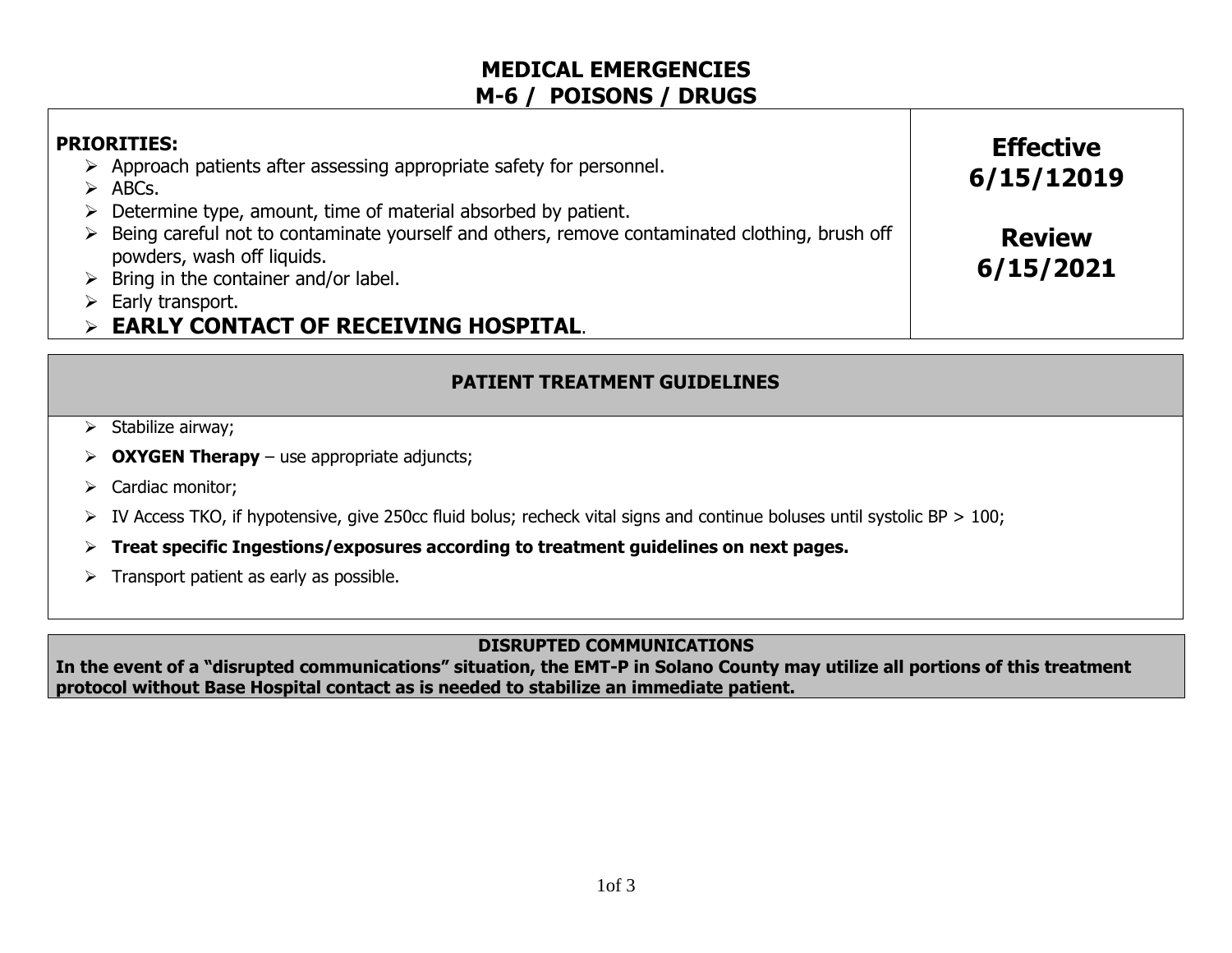# **MEDICAL EMERGENCIES M-6 / POISONS / DRUGS**

| <b>PRIORITIES:</b><br>Approach patients after assessing appropriate safety for personnel.<br>➤<br>$\triangleright$ ABCs.                                                                                                       | <b>Effective</b><br>6/15/12019 |
|--------------------------------------------------------------------------------------------------------------------------------------------------------------------------------------------------------------------------------|--------------------------------|
| $\triangleright$ Determine type, amount, time of material absorbed by patient.<br>$\triangleright$ Being careful not to contaminate yourself and others, remove contaminated clothing, brush off<br>powders, wash off liquids. | <b>Review</b>                  |
| $\triangleright$ Bring in the container and/or label.<br>$\triangleright$ Early transport.<br>$\triangleright$ EARLY CONTACT OF RECEIVING HOSPITAL.                                                                            | 6/15/2021                      |

### **PATIENT TREATMENT GUIDELINES**

- **OXYGEN Therapy** use appropriate adjuncts;
- $\triangleright$  Cardiac monitor;
- $\triangleright$  IV Access TKO, if hypotensive, give 250cc fluid bolus; recheck vital signs and continue boluses until systolic BP  $> 100$ ;
- **Treat specific Ingestions/exposures according to treatment guidelines on next pages.**
- $\triangleright$  Transport patient as early as possible.

#### **DISRUPTED COMMUNICATIONS**

**In the event of a "disrupted communications" situation, the EMT-P in Solano County may utilize all portions of this treatment protocol without Base Hospital contact as is needed to stabilize an immediate patient.**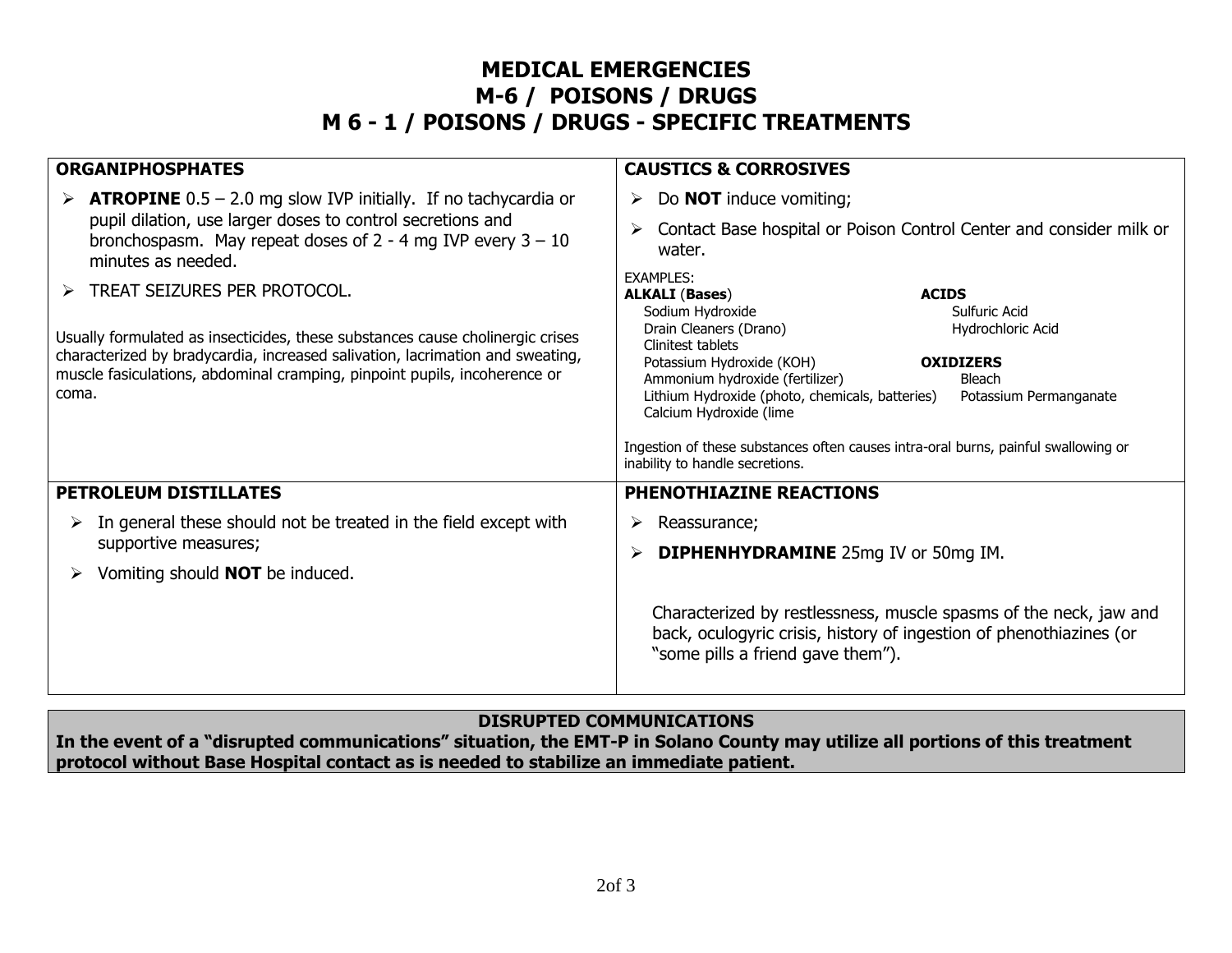# **MEDICAL EMERGENCIES M-6 / POISONS / DRUGS M 6 - 1 / POISONS / DRUGS - SPECIFIC TREATMENTS**

| <b>ORGANIPHOSPHATES</b>                                                                                                                                                                                                                                                              | <b>CAUSTICS &amp; CORROSIVES</b>                                                                                                                                                                                                                                                                                                                                                                                                                                                                  |  |
|--------------------------------------------------------------------------------------------------------------------------------------------------------------------------------------------------------------------------------------------------------------------------------------|---------------------------------------------------------------------------------------------------------------------------------------------------------------------------------------------------------------------------------------------------------------------------------------------------------------------------------------------------------------------------------------------------------------------------------------------------------------------------------------------------|--|
| $\triangleright$ <b>ATROPINE</b> 0.5 – 2.0 mg slow IVP initially. If no tachycardia or<br>pupil dilation, use larger doses to control secretions and<br>bronchospasm. May repeat doses of $2 - 4$ mg IVP every $3 - 10$<br>minutes as needed.                                        | Do <b>NOT</b> induce vomiting;<br>➤<br>Contact Base hospital or Poison Control Center and consider milk or<br>➤<br>water.                                                                                                                                                                                                                                                                                                                                                                         |  |
| TREAT SEIZURES PER PROTOCOL.<br>Usually formulated as insecticides, these substances cause cholinergic crises<br>characterized by bradycardia, increased salivation, lacrimation and sweating,<br>muscle fasiculations, abdominal cramping, pinpoint pupils, incoherence or<br>coma. | <b>EXAMPLES:</b><br><b>ALKALI (Bases)</b><br><b>ACIDS</b><br>Sulfuric Acid<br>Sodium Hydroxide<br>Drain Cleaners (Drano)<br>Hydrochloric Acid<br>Clinitest tablets<br>Potassium Hydroxide (KOH)<br><b>OXIDIZERS</b><br>Ammonium hydroxide (fertilizer)<br>Bleach<br>Lithium Hydroxide (photo, chemicals, batteries)<br>Potassium Permanganate<br>Calcium Hydroxide (lime<br>Ingestion of these substances often causes intra-oral burns, painful swallowing or<br>inability to handle secretions. |  |
| <b>PETROLEUM DISTILLATES</b>                                                                                                                                                                                                                                                         | <b>PHENOTHIAZINE REACTIONS</b>                                                                                                                                                                                                                                                                                                                                                                                                                                                                    |  |
| In general these should not be treated in the field except with<br>➤<br>supportive measures;<br>Vomiting should <b>NOT</b> be induced.<br>➤                                                                                                                                          | ➤<br>Reassurance;<br><b>DIPHENHYDRAMINE</b> 25mg IV or 50mg IM.<br>➤<br>Characterized by restlessness, muscle spasms of the neck, jaw and<br>back, oculogyric crisis, history of ingestion of phenothiazines (or<br>"some pills a friend gave them").                                                                                                                                                                                                                                             |  |

#### **DISRUPTED COMMUNICATIONS**

**In the event of a "disrupted communications" situation, the EMT-P in Solano County may utilize all portions of this treatment protocol without Base Hospital contact as is needed to stabilize an immediate patient.**